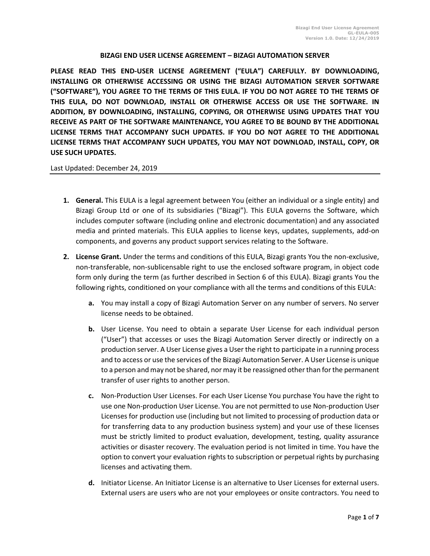## **BIZAGI END USER LICENSE AGREEMENT – BIZAGI AUTOMATION SERVER**

**PLEASE READ THIS END-USER LICENSE AGREEMENT ("EULA") CAREFULLY. BY DOWNLOADING, INSTALLING OR OTHERWISE ACCESSING OR USING THE BIZAGI AUTOMATION SERVER SOFTWARE ("SOFTWARE"), YOU AGREE TO THE TERMS OF THIS EULA. IF YOU DO NOT AGREE TO THE TERMS OF THIS EULA, DO NOT DOWNLOAD, INSTALL OR OTHERWISE ACCESS OR USE THE SOFTWARE. IN ADDITION, BY DOWNLOADING, INSTALLING, COPYING, OR OTHERWISE USING UPDATES THAT YOU RECEIVE AS PART OF THE SOFTWARE MAINTENANCE, YOU AGREE TO BE BOUND BY THE ADDITIONAL LICENSE TERMS THAT ACCOMPANY SUCH UPDATES. IF YOU DO NOT AGREE TO THE ADDITIONAL LICENSE TERMS THAT ACCOMPANY SUCH UPDATES, YOU MAY NOT DOWNLOAD, INSTALL, COPY, OR USE SUCH UPDATES.** 

## Last Updated: December 24, 2019

- **1. General.** This EULA is a legal agreement between You (either an individual or a single entity) and Bizagi Group Ltd or one of its subsidiaries ("Bizagi"). This EULA governs the Software, which includes computer software (including online and electronic documentation) and any associated media and printed materials. This EULA applies to license keys, updates, supplements, add-on components, and governs any product support services relating to the Software.
- **2. License Grant.** Under the terms and conditions of this EULA, Bizagi grants You the non-exclusive, non-transferable, non-sublicensable right to use the enclosed software program, in object code form only during the term (as further described in Section 6 of this EULA). Bizagi grants You the following rights, conditioned on your compliance with all the terms and conditions of this EULA:
	- **a.** You may install a copy of Bizagi Automation Server on any number of servers. No server license needs to be obtained.
	- **b.** User License. You need to obtain a separate User License for each individual person ("User") that accesses or uses the Bizagi Automation Server directly or indirectly on a production server. A User License gives a User the right to participate in a running process and to access or use the services of the Bizagi Automation Server. A User License is unique to a person and may not be shared, nor may it be reassigned other than for the permanent transfer of user rights to another person.
	- **c.** Non-Production User Licenses. For each User License You purchase You have the right to use one Non-production User License. You are not permitted to use Non-production User Licenses for production use (including but not limited to processing of production data or for transferring data to any production business system) and your use of these licenses must be strictly limited to product evaluation, development, testing, quality assurance activities or disaster recovery. The evaluation period is not limited in time. You have the option to convert your evaluation rights to subscription or perpetual rights by purchasing licenses and activating them.
	- **d.** Initiator License. An Initiator License is an alternative to User Licenses for external users. External users are users who are not your employees or onsite contractors. You need to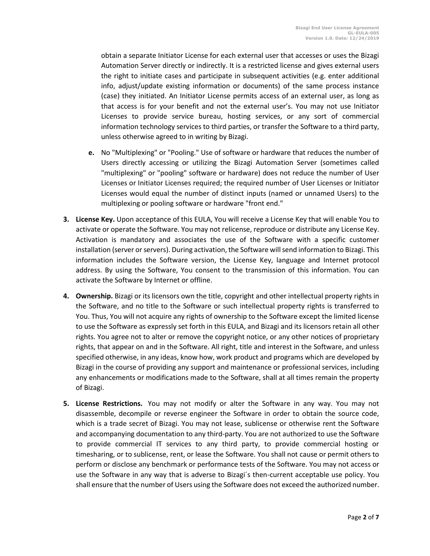obtain a separate Initiator License for each external user that accesses or uses the Bizagi Automation Server directly or indirectly. It is a restricted license and gives external users the right to initiate cases and participate in subsequent activities (e.g. enter additional info, adjust/update existing information or documents) of the same process instance (case) they initiated. An Initiator License permits access of an external user, as long as that access is for your benefit and not the external user's. You may not use Initiator Licenses to provide service bureau, hosting services, or any sort of commercial information technology services to third parties, or transfer the Software to a third party, unless otherwise agreed to in writing by Bizagi.

- **e.** No "Multiplexing" or "Pooling." Use of software or hardware that reduces the number of Users directly accessing or utilizing the Bizagi Automation Server (sometimes called "multiplexing" or "pooling" software or hardware) does not reduce the number of User Licenses or Initiator Licenses required; the required number of User Licenses or Initiator Licenses would equal the number of distinct inputs (named or unnamed Users) to the multiplexing or pooling software or hardware "front end."
- **3. License Key.** Upon acceptance of this EULA, You will receive a License Key that will enable You to activate or operate the Software. You may not relicense, reproduce or distribute any License Key. Activation is mandatory and associates the use of the Software with a specific customer installation (server or servers). During activation, the Software will send information to Bizagi. This information includes the Software version, the License Key, language and Internet protocol address. By using the Software, You consent to the transmission of this information. You can activate the Software by Internet or offline.
- **4. Ownership.** Bizagi or its licensors own the title, copyright and other intellectual property rights in the Software, and no title to the Software or such intellectual property rights is transferred to You. Thus, You will not acquire any rights of ownership to the Software except the limited license to use the Software as expressly set forth in this EULA, and Bizagi and its licensors retain all other rights. You agree not to alter or remove the copyright notice, or any other notices of proprietary rights, that appear on and in the Software. All right, title and interest in the Software, and unless specified otherwise, in any ideas, know how, work product and programs which are developed by Bizagi in the course of providing any support and maintenance or professional services, including any enhancements or modifications made to the Software, shall at all times remain the property of Bizagi.
- **5. License Restrictions.** You may not modify or alter the Software in any way. You may not disassemble, decompile or reverse engineer the Software in order to obtain the source code, which is a trade secret of Bizagi. You may not lease, sublicense or otherwise rent the Software and accompanying documentation to any third-party. You are not authorized to use the Software to provide commercial IT services to any third party, to provide commercial hosting or timesharing, or to sublicense, rent, or lease the Software. You shall not cause or permit others to perform or disclose any benchmark or performance tests of the Software. You may not access or use the Software in any way that is adverse to Bizagi´s then-current acceptable use policy. You shall ensure that the number of Users using the Software does not exceed the authorized number.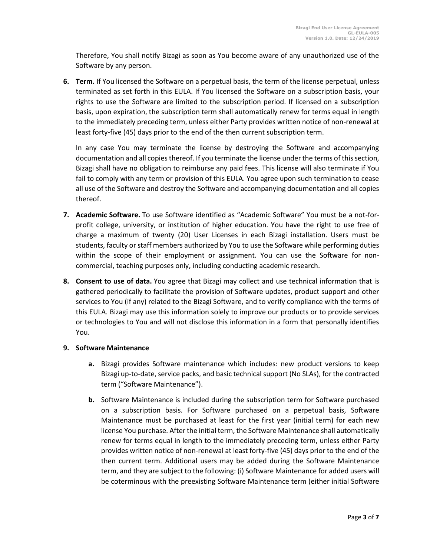Therefore, You shall notify Bizagi as soon as You become aware of any unauthorized use of the Software by any person.

**6. Term.** If You licensed the Software on a perpetual basis, the term of the license perpetual, unless terminated as set forth in this EULA. If You licensed the Software on a subscription basis, your rights to use the Software are limited to the subscription period. If licensed on a subscription basis, upon expiration, the subscription term shall automatically renew for terms equal in length to the immediately preceding term, unless either Party provides written notice of non-renewal at least forty-five (45) days prior to the end of the then current subscription term.

In any case You may terminate the license by destroying the Software and accompanying documentation and all copies thereof. If you terminate the license under the terms of this section, Bizagi shall have no obligation to reimburse any paid fees. This license will also terminate if You fail to comply with any term or provision of this EULA. You agree upon such termination to cease all use of the Software and destroy the Software and accompanying documentation and all copies thereof.

- **7. Academic Software.** To use Software identified as "Academic Software" You must be a not-forprofit college, university, or institution of higher education. You have the right to use free of charge a maximum of twenty (20) User Licenses in each Bizagi installation. Users must be students, faculty or staff members authorized by You to use the Software while performing duties within the scope of their employment or assignment. You can use the Software for noncommercial, teaching purposes only, including conducting academic research.
- **8. Consent to use of data.** You agree that Bizagi may collect and use technical information that is gathered periodically to facilitate the provision of Software updates, product support and other services to You (if any) related to the Bizagi Software, and to verify compliance with the terms of this EULA. Bizagi may use this information solely to improve our products or to provide services or technologies to You and will not disclose this information in a form that personally identifies You.

## **9. Software Maintenance**

- **a.** Bizagi provides Software maintenance which includes: new product versions to keep Bizagi up-to-date, service packs, and basic technical support (No SLAs), for the contracted term ("Software Maintenance").
- **b.** Software Maintenance is included during the subscription term for Software purchased on a subscription basis. For Software purchased on a perpetual basis, Software Maintenance must be purchased at least for the first year (initial term) for each new license You purchase. After the initial term, the Software Maintenance shall automatically renew for terms equal in length to the immediately preceding term, unless either Party provides written notice of non-renewal at least forty-five (45) days prior to the end of the then current term. Additional users may be added during the Software Maintenance term, and they are subject to the following: (i) Software Maintenance for added users will be coterminous with the preexisting Software Maintenance term (either initial Software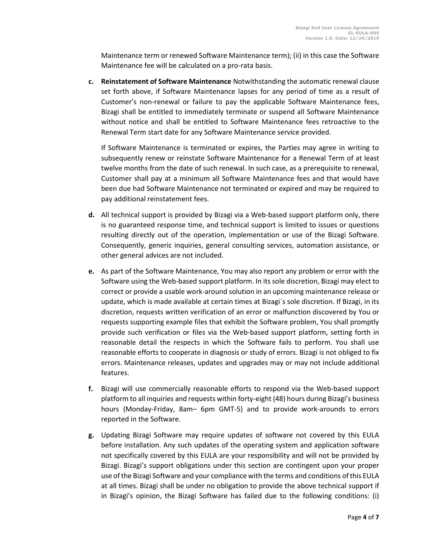Maintenance term or renewed Software Maintenance term); (ii) in this case the Software Maintenance fee will be calculated on a pro-rata basis.

**c. Reinstatement of Software Maintenance** Notwithstanding the automatic renewal clause set forth above, if Software Maintenance lapses for any period of time as a result of Customer's non-renewal or failure to pay the applicable Software Maintenance fees, Bizagi shall be entitled to immediately terminate or suspend all Software Maintenance without notice and shall be entitled to Software Maintenance fees retroactive to the Renewal Term start date for any Software Maintenance service provided.

If Software Maintenance is terminated or expires, the Parties may agree in writing to subsequently renew or reinstate Software Maintenance for a Renewal Term of at least twelve months from the date of such renewal. In such case, as a prerequisite to renewal, Customer shall pay at a minimum all Software Maintenance fees and that would have been due had Software Maintenance not terminated or expired and may be required to pay additional reinstatement fees.

- **d.** All technical support is provided by Bizagi via a Web-based support platform only, there is no guaranteed response time, and technical support is limited to issues or questions resulting directly out of the operation, implementation or use of the Bizagi Software. Consequently, generic inquiries, general consulting services, automation assistance, or other general advices are not included.
- **e.** As part of the Software Maintenance, You may also report any problem or error with the Software using the Web-based support platform. In its sole discretion, Bizagi may elect to correct or provide a usable work-around solution in an upcoming maintenance release or update, which is made available at certain times at Bizagi´s sole discretion. If Bizagi, in its discretion, requests written verification of an error or malfunction discovered by You or requests supporting example files that exhibit the Software problem, You shall promptly provide such verification or files via the Web-based support platform, setting forth in reasonable detail the respects in which the Software fails to perform. You shall use reasonable efforts to cooperate in diagnosis or study of errors. Bizagi is not obliged to fix errors. Maintenance releases, updates and upgrades may or may not include additional features.
- **f.** Bizagi will use commercially reasonable efforts to respond via the Web-based support platform to all inquiries and requests within forty-eight (48) hours during Bizagi's business hours (Monday-Friday, 8am– 6pm GMT-5) and to provide work-arounds to errors reported in the Software.
- **g.** Updating Bizagi Software may require updates of software not covered by this EULA before installation. Any such updates of the operating system and application software not specifically covered by this EULA are your responsibility and will not be provided by Bizagi. Bizagi's support obligations under this section are contingent upon your proper use of the Bizagi Software and your compliance with the terms and conditions of this EULA at all times. Bizagi shall be under no obligation to provide the above technical support if in Bizagi's opinion, the Bizagi Software has failed due to the following conditions: (i)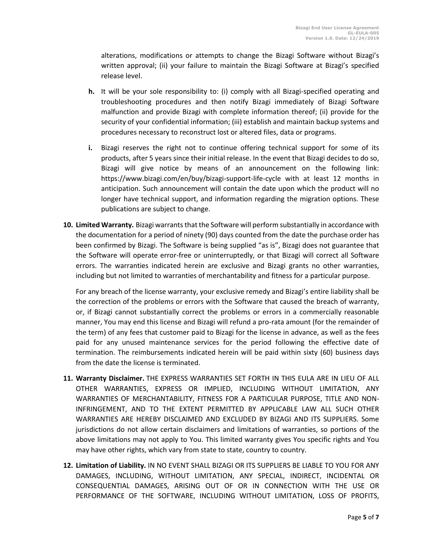alterations, modifications or attempts to change the Bizagi Software without Bizagi's written approval; (ii) your failure to maintain the Bizagi Software at Bizagi's specified release level.

- **h.** It will be your sole responsibility to: (i) comply with all Bizagi-specified operating and troubleshooting procedures and then notify Bizagi immediately of Bizagi Software malfunction and provide Bizagi with complete information thereof; (ii) provide for the security of your confidential information; (iii) establish and maintain backup systems and procedures necessary to reconstruct lost or altered files, data or programs.
- **i.** Bizagi reserves the right not to continue offering technical support for some of its products, after 5 years since their initial release. In the event that Bizagi decides to do so, Bizagi will give notice by means of an announcement on the following link: https://www.bizagi.com/en/buy/bizagi-support-life-cycle with at least 12 months in anticipation. Such announcement will contain the date upon which the product will no longer have technical support, and information regarding the migration options. These publications are subject to change.
- **10. Limited Warranty.** Bizagi warrants that the Software will perform substantially in accordance with the documentation for a period of ninety (90) days counted from the date the purchase order has been confirmed by Bizagi. The Software is being supplied "as is", Bizagi does not guarantee that the Software will operate error-free or uninterruptedly, or that Bizagi will correct all Software errors. The warranties indicated herein are exclusive and Bizagi grants no other warranties, including but not limited to warranties of merchantability and fitness for a particular purpose.

For any breach of the license warranty, your exclusive remedy and Bizagi's entire liability shall be the correction of the problems or errors with the Software that caused the breach of warranty, or, if Bizagi cannot substantially correct the problems or errors in a commercially reasonable manner, You may end this license and Bizagi will refund a pro-rata amount (for the remainder of the term) of any fees that customer paid to Bizagi for the license in advance, as well as the fees paid for any unused maintenance services for the period following the effective date of termination. The reimbursements indicated herein will be paid within sixty (60) business days from the date the license is terminated.

- **11. Warranty Disclaimer.** THE EXPRESS WARRANTIES SET FORTH IN THIS EULA ARE IN LIEU OF ALL OTHER WARRANTIES, EXPRESS OR IMPLIED, INCLUDING WITHOUT LIMITATION, ANY WARRANTIES OF MERCHANTABILITY, FITNESS FOR A PARTICULAR PURPOSE, TITLE AND NON-INFRINGEMENT, AND TO THE EXTENT PERMITTED BY APPLICABLE LAW ALL SUCH OTHER WARRANTIES ARE HEREBY DISCLAIMED AND EXCLUDED BY BIZAGI AND ITS SUPPLIERS. Some jurisdictions do not allow certain disclaimers and limitations of warranties, so portions of the above limitations may not apply to You. This limited warranty gives You specific rights and You may have other rights, which vary from state to state, country to country.
- **12. Limitation of Liability.** IN NO EVENT SHALL BIZAGI OR ITS SUPPLIERS BE LIABLE TO YOU FOR ANY DAMAGES, INCLUDING, WITHOUT LIMITATION, ANY SPECIAL, INDIRECT, INCIDENTAL OR CONSEQUENTIAL DAMAGES, ARISING OUT OF OR IN CONNECTION WITH THE USE OR PERFORMANCE OF THE SOFTWARE, INCLUDING WITHOUT LIMITATION, LOSS OF PROFITS,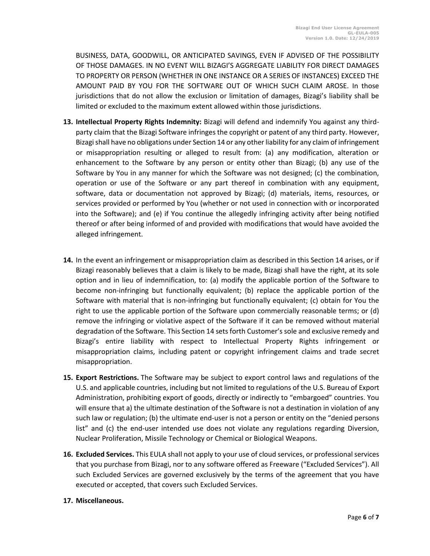BUSINESS, DATA, GOODWILL, OR ANTICIPATED SAVINGS, EVEN IF ADVISED OF THE POSSIBILITY OF THOSE DAMAGES. IN NO EVENT WILL BIZAGI'S AGGREGATE LIABILITY FOR DIRECT DAMAGES TO PROPERTY OR PERSON (WHETHER IN ONE INSTANCE OR A SERIES OF INSTANCES) EXCEED THE AMOUNT PAID BY YOU FOR THE SOFTWARE OUT OF WHICH SUCH CLAIM AROSE. In those jurisdictions that do not allow the exclusion or limitation of damages, Bizagi's liability shall be limited or excluded to the maximum extent allowed within those jurisdictions.

- **13. Intellectual Property Rights Indemnity:** Bizagi will defend and indemnify You against any thirdparty claim that the Bizagi Software infringes the copyright or patent of any third party. However, Bizagi shall have no obligations under Section 14 or any other liability for any claim of infringement or misappropriation resulting or alleged to result from: (a) any modification, alteration or enhancement to the Software by any person or entity other than Bizagi; (b) any use of the Software by You in any manner for which the Software was not designed; (c) the combination, operation or use of the Software or any part thereof in combination with any equipment, software, data or documentation not approved by Bizagi; (d) materials, items, resources, or services provided or performed by You (whether or not used in connection with or incorporated into the Software); and (e) if You continue the allegedly infringing activity after being notified thereof or after being informed of and provided with modifications that would have avoided the alleged infringement.
- **14.** In the event an infringement or misappropriation claim as described in this Section 14 arises, or if Bizagi reasonably believes that a claim is likely to be made, Bizagi shall have the right, at its sole option and in lieu of indemnification, to: (a) modify the applicable portion of the Software to become non-infringing but functionally equivalent; (b) replace the applicable portion of the Software with material that is non-infringing but functionally equivalent; (c) obtain for You the right to use the applicable portion of the Software upon commercially reasonable terms; or (d) remove the infringing or violative aspect of the Software if it can be removed without material degradation of the Software. This Section 14 sets forth Customer's sole and exclusive remedy and Bizagi's entire liability with respect to Intellectual Property Rights infringement or misappropriation claims, including patent or copyright infringement claims and trade secret misappropriation.
- **15. Export Restrictions.** The Software may be subject to export control laws and regulations of the U.S. and applicable countries, including but not limited to regulations of the U.S. Bureau of Export Administration, prohibiting export of goods, directly or indirectly to "embargoed" countries. You will ensure that a) the ultimate destination of the Software is not a destination in violation of any such law or regulation; (b) the ultimate end-user is not a person or entity on the "denied persons list" and (c) the end-user intended use does not violate any regulations regarding Diversion, Nuclear Proliferation, Missile Technology or Chemical or Biological Weapons.
- **16. Excluded Services.** This EULA shall not apply to your use of cloud services, or professional services that you purchase from Bizagi, nor to any software offered as Freeware ("Excluded Services"). All such Excluded Services are governed exclusively by the terms of the agreement that you have executed or accepted, that covers such Excluded Services.
- **17. Miscellaneous.**